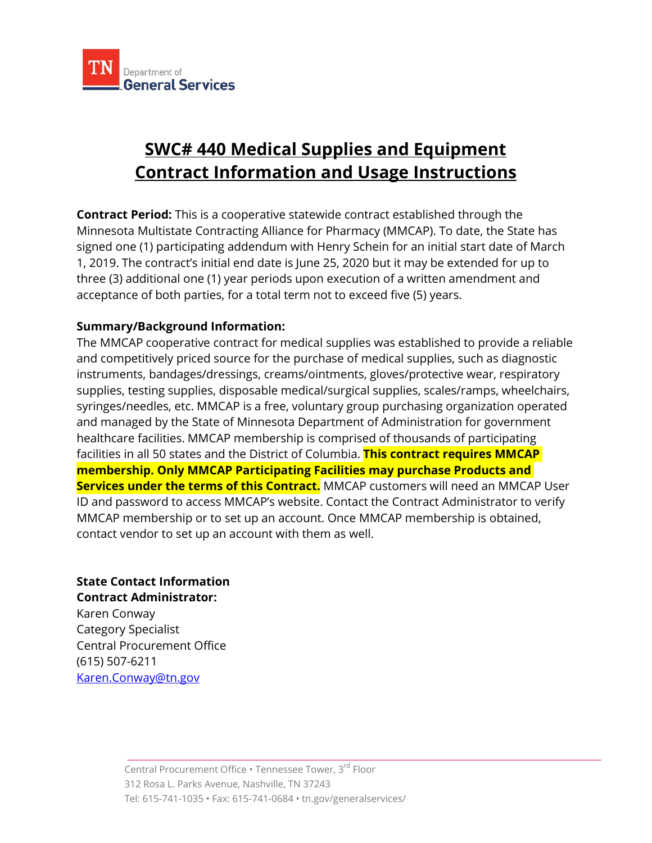

# **SWC# 440 Medical Supplies and Equipment Contract Information and Usage Instructions**

**Contract Period:** This is a cooperative statewide contract established through the Minnesota Multistate Contracting Alliance for Pharmacy (MMCAP). To date, the State has signed one (1) participating addendum with Henry Schein for an initial start date of March 1, 2019. The contract's initial end date is June 25, 2020 but it may be extended for up to three (3) additional one (1) year periods upon execution of a written amendment and acceptance of both parties, for a total term not to exceed five (5) years.

## **Summary/Background Information:**

The MMCAP cooperative contract for medical supplies was established to provide a reliable and competitively priced source for the purchase of medical supplies, such as diagnostic instruments, bandages/dressings, creams/ointments, gloves/protective wear, respiratory supplies, testing supplies, disposable medical/surgical supplies, scales/ramps, wheelchairs, syringes/needles, etc. MMCAP is a free, voluntary group purchasing organization operated and managed by the State of Minnesota Department of Administration for government healthcare facilities. MMCAP membership is comprised of thousands of participating facilities in all 50 states and the District of Columbia. **This contract requires MMCAP membership. Only MMCAP Participating Facilities may purchase Products and Services under the terms of this Contract.** MMCAP customers will need an MMCAP User ID and password to access MMCAP's website. Contact the Contract Administrator to verify MMCAP membership or to set up an account. Once MMCAP membership is obtained, contact vendor to set up an account with them as well.

**State Contact Information Contract Administrator:** Karen Conway

Category Specialist Central Procurement Office (615) 507-6211 [Karen.Conway@tn.gov](mailto:Karen.Conway@tn.gov)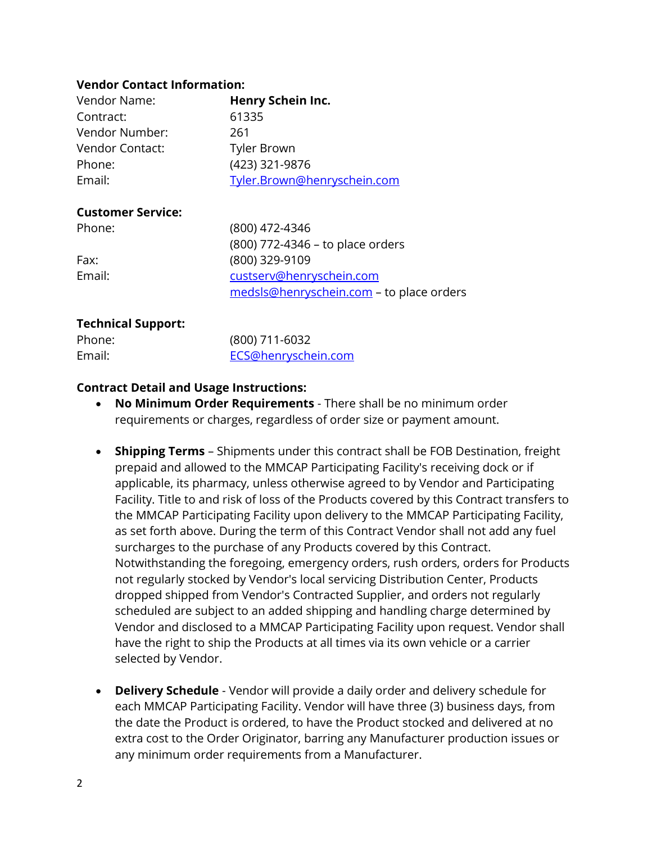#### **Vendor Contact Information:**

| Vendor Name:    | Henry Schein Inc.           |
|-----------------|-----------------------------|
| Contract:       | 61335                       |
| Vendor Number:  | 261                         |
| Vendor Contact: | <b>Tyler Brown</b>          |
| Phone:          | (423) 321-9876              |
| Email:          | Tyler.Brown@henryschein.com |

#### **Customer Service:**

| (800) 472-4346                           |
|------------------------------------------|
| (800) 772-4346 – to place orders         |
| (800) 329-9109                           |
| custserv@henryschein.com                 |
| medsls@henryschein.com - to place orders |
|                                          |

### **Technical Support:**

| Phone: | (800) 711-6032      |
|--------|---------------------|
| Email: | ECS@henryschein.com |

### **Contract Detail and Usage Instructions:**

- **No Minimum Order Requirements** There shall be no minimum order requirements or charges, regardless of order size or payment amount.
- **Shipping Terms** Shipments under this contract shall be FOB Destination, freight prepaid and allowed to the MMCAP Participating Facility's receiving dock or if applicable, its pharmacy, unless otherwise agreed to by Vendor and Participating Facility. Title to and risk of loss of the Products covered by this Contract transfers to the MMCAP Participating Facility upon delivery to the MMCAP Participating Facility, as set forth above. During the term of this Contract Vendor shall not add any fuel surcharges to the purchase of any Products covered by this Contract. Notwithstanding the foregoing, emergency orders, rush orders, orders for Products not regularly stocked by Vendor's local servicing Distribution Center, Products dropped shipped from Vendor's Contracted Supplier, and orders not regularly scheduled are subject to an added shipping and handling charge determined by Vendor and disclosed to a MMCAP Participating Facility upon request. Vendor shall have the right to ship the Products at all times via its own vehicle or a carrier selected by Vendor.
- **Delivery Schedule** Vendor will provide a daily order and delivery schedule for each MMCAP Participating Facility. Vendor will have three (3) business days, from the date the Product is ordered, to have the Product stocked and delivered at no extra cost to the Order Originator, barring any Manufacturer production issues or any minimum order requirements from a Manufacturer.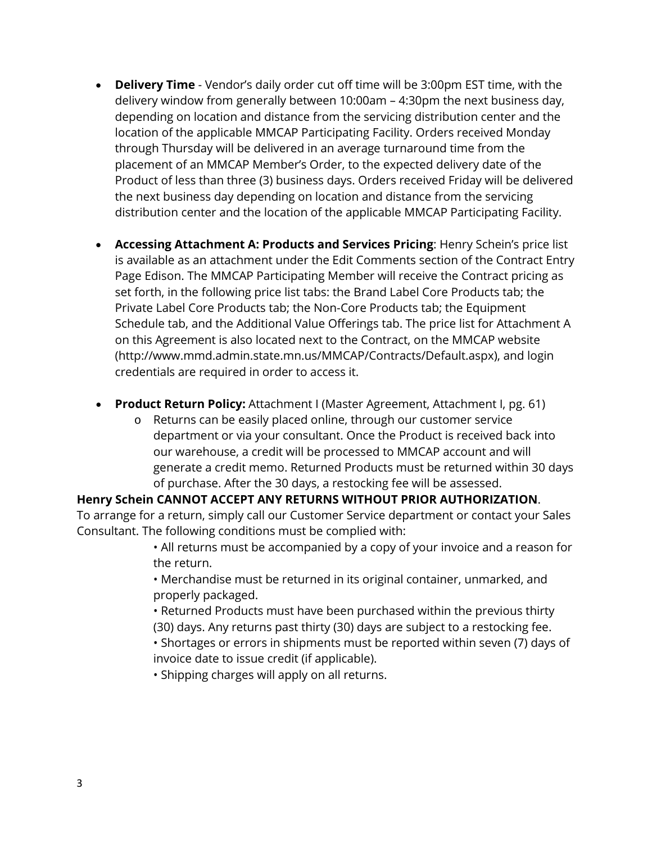- **Delivery Time** Vendor's daily order cut off time will be 3:00pm EST time, with the delivery window from generally between 10:00am – 4:30pm the next business day, depending on location and distance from the servicing distribution center and the location of the applicable MMCAP Participating Facility. Orders received Monday through Thursday will be delivered in an average turnaround time from the placement of an MMCAP Member's Order, to the expected delivery date of the Product of less than three (3) business days. Orders received Friday will be delivered the next business day depending on location and distance from the servicing distribution center and the location of the applicable MMCAP Participating Facility.
- **Accessing Attachment A: Products and Services Pricing**: Henry Schein's price list is available as an attachment under the Edit Comments section of the Contract Entry Page Edison. The MMCAP Participating Member will receive the Contract pricing as set forth, in the following price list tabs: the Brand Label Core Products tab; the Private Label Core Products tab; the Non-Core Products tab; the Equipment Schedule tab, and the Additional Value Offerings tab. The price list for Attachment A on this Agreement is also located next to the Contract, on the MMCAP website (http://www.mmd.admin.state.mn.us/MMCAP/Contracts/Default.aspx), and login credentials are required in order to access it.
- **Product Return Policy:** Attachment I (Master Agreement, Attachment I, pg. 61)
	- o Returns can be easily placed online, through our customer service department or via your consultant. Once the Product is received back into our warehouse, a credit will be processed to MMCAP account and will generate a credit memo. Returned Products must be returned within 30 days of purchase. After the 30 days, a restocking fee will be assessed.

## **Henry Schein CANNOT ACCEPT ANY RETURNS WITHOUT PRIOR AUTHORIZATION**.

To arrange for a return, simply call our Customer Service department or contact your Sales Consultant. The following conditions must be complied with:

> • All returns must be accompanied by a copy of your invoice and a reason for the return.

• Merchandise must be returned in its original container, unmarked, and properly packaged.

• Returned Products must have been purchased within the previous thirty (30) days. Any returns past thirty (30) days are subject to a restocking fee.

• Shortages or errors in shipments must be reported within seven (7) days of invoice date to issue credit (if applicable).

• Shipping charges will apply on all returns.